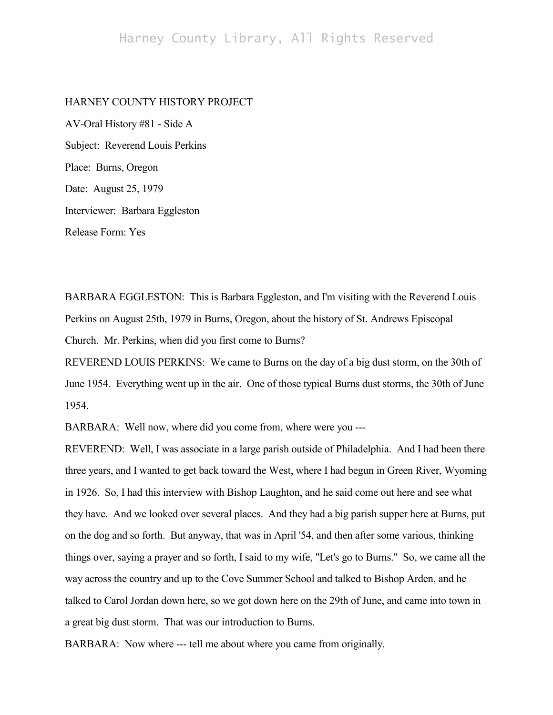## HARNEY COUNTY HISTORY PROJECT

AV-Oral History #81 - Side A Subject: Reverend Louis Perkins Place: Burns, Oregon Date: August 25, 1979 Interviewer: Barbara Eggleston Release Form: Yes

BARBARA EGGLESTON: This is Barbara Eggleston, and I'm visiting with the Reverend Louis Perkins on August 25th, 1979 in Burns, Oregon, about the history of St. Andrews Episcopal Church. Mr. Perkins, when did you first come to Burns?

REVEREND LOUIS PERKINS: We came to Burns on the day of a big dust storm, on the 30th of June 1954. Everything went up in the air. One of those typical Burns dust storms, the 30th of June 1954.

BARBARA: Well now, where did you come from, where were you ---

REVEREND: Well, I was associate in a large parish outside of Philadelphia. And I had been there three years, and I wanted to get back toward the West, where I had begun in Green River, Wyoming in 1926. So, I had this interview with Bishop Laughton, and he said come out here and see what they have. And we looked over several places. And they had a big parish supper here at Burns, put on the dog and so forth. But anyway, that was in April '54, and then after some various, thinking things over, saying a prayer and so forth, I said to my wife, "Let's go to Burns." So, we came all the way across the country and up to the Cove Summer School and talked to Bishop Arden, and he talked to Carol Jordan down here, so we got down here on the 29th of June, and came into town in a great big dust storm. That was our introduction to Burns.

BARBARA: Now where --- tell me about where you came from originally.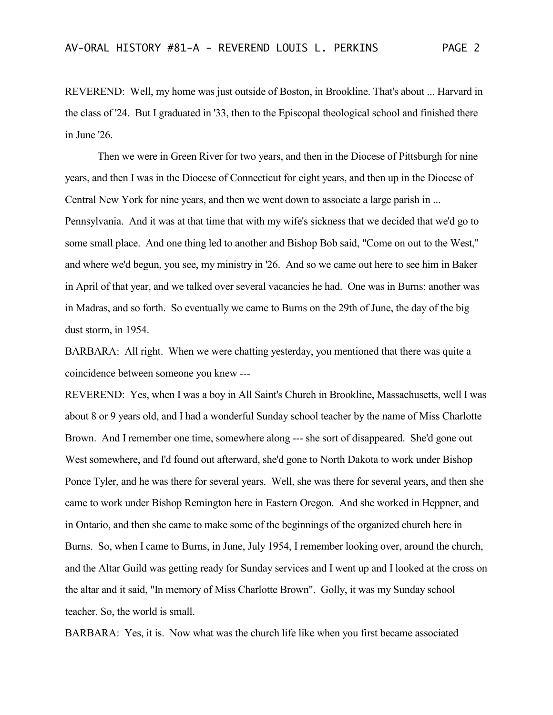REVEREND: Well, my home was just outside of Boston, in Brookline. That's about ... Harvard in the class of '24. But I graduated in '33, then to the Episcopal theological school and finished there in June '26.

Then we were in Green River for two years, and then in the Diocese of Pittsburgh for nine years, and then I was in the Diocese of Connecticut for eight years, and then up in the Diocese of Central New York for nine years, and then we went down to associate a large parish in ... Pennsylvania. And it was at that time that with my wife's sickness that we decided that we'd go to some small place. And one thing led to another and Bishop Bob said, "Come on out to the West," and where we'd begun, you see, my ministry in '26. And so we came out here to see him in Baker in April of that year, and we talked over several vacancies he had. One was in Burns; another was in Madras, and so forth. So eventually we came to Burns on the 29th of June, the day of the big dust storm, in 1954.

BARBARA: All right. When we were chatting yesterday, you mentioned that there was quite a coincidence between someone you knew ---

REVEREND: Yes, when I was a boy in All Saint's Church in Brookline, Massachusetts, well I was about 8 or 9 years old, and I had a wonderful Sunday school teacher by the name of Miss Charlotte Brown. And I remember one time, somewhere along --- she sort of disappeared. She'd gone out West somewhere, and I'd found out afterward, she'd gone to North Dakota to work under Bishop Ponce Tyler, and he was there for several years. Well, she was there for several years, and then she came to work under Bishop Remington here in Eastern Oregon. And she worked in Heppner, and in Ontario, and then she came to make some of the beginnings of the organized church here in Burns. So, when I came to Burns, in June, July 1954, I remember looking over, around the church, and the Altar Guild was getting ready for Sunday services and I went up and I looked at the cross on the altar and it said, "In memory of Miss Charlotte Brown". Golly, it was my Sunday school teacher. So, the world is small.

BARBARA: Yes, it is. Now what was the church life like when you first became associated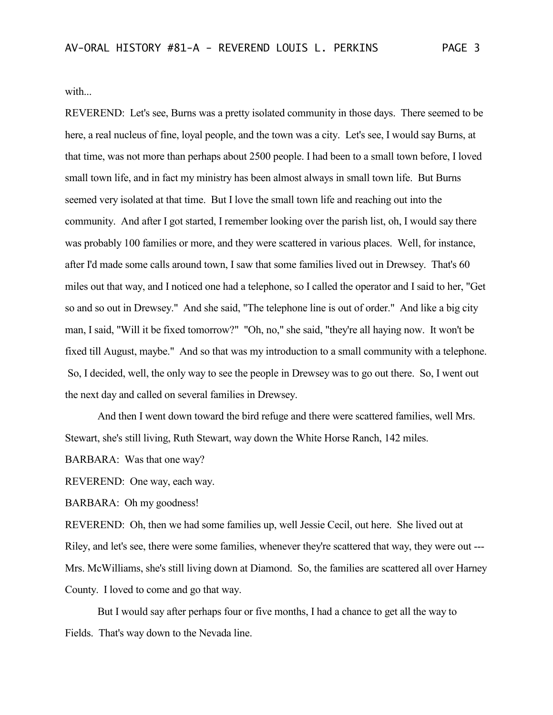with...

REVEREND: Let's see, Burns was a pretty isolated community in those days. There seemed to be here, a real nucleus of fine, loyal people, and the town was a city. Let's see, I would say Burns, at that time, was not more than perhaps about 2500 people. I had been to a small town before, I loved small town life, and in fact my ministry has been almost always in small town life. But Burns seemed very isolated at that time. But I love the small town life and reaching out into the community. And after I got started, I remember looking over the parish list, oh, I would say there was probably 100 families or more, and they were scattered in various places. Well, for instance, after I'd made some calls around town, I saw that some families lived out in Drewsey. That's 60 miles out that way, and I noticed one had a telephone, so I called the operator and I said to her, "Get so and so out in Drewsey." And she said, "The telephone line is out of order." And like a big city man, I said, "Will it be fixed tomorrow?" "Oh, no," she said, "they're all haying now. It won't be fixed till August, maybe." And so that was my introduction to a small community with a telephone. So, I decided, well, the only way to see the people in Drewsey was to go out there. So, I went out the next day and called on several families in Drewsey.

And then I went down toward the bird refuge and there were scattered families, well Mrs. Stewart, she's still living, Ruth Stewart, way down the White Horse Ranch, 142 miles.

BARBARA: Was that one way?

REVEREND: One way, each way.

BARBARA: Oh my goodness!

REVEREND: Oh, then we had some families up, well Jessie Cecil, out here. She lived out at Riley, and let's see, there were some families, whenever they're scattered that way, they were out --- Mrs. McWilliams, she's still living down at Diamond. So, the families are scattered all over Harney County. I loved to come and go that way.

But I would say after perhaps four or five months, I had a chance to get all the way to Fields. That's way down to the Nevada line.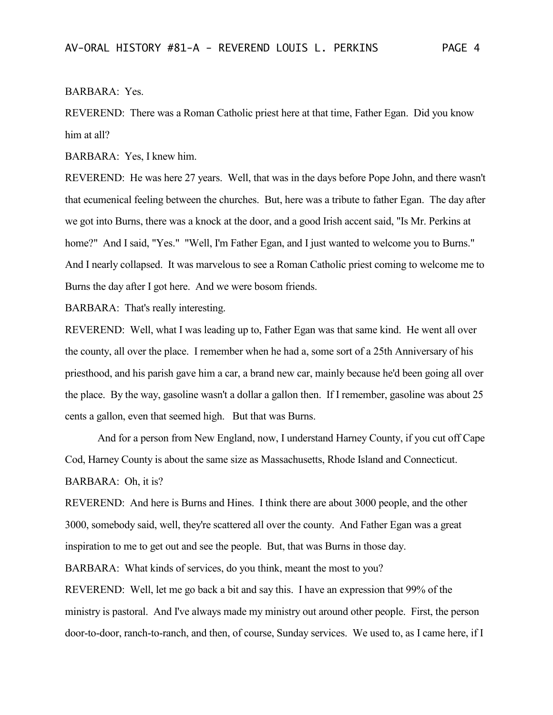## BARBARA: Yes.

REVEREND: There was a Roman Catholic priest here at that time, Father Egan. Did you know him at all?

BARBARA: Yes, I knew him.

REVEREND: He was here 27 years. Well, that was in the days before Pope John, and there wasn't that ecumenical feeling between the churches. But, here was a tribute to father Egan. The day after we got into Burns, there was a knock at the door, and a good Irish accent said, "Is Mr. Perkins at home?" And I said, "Yes." "Well, I'm Father Egan, and I just wanted to welcome you to Burns." And I nearly collapsed. It was marvelous to see a Roman Catholic priest coming to welcome me to Burns the day after I got here. And we were bosom friends.

BARBARA: That's really interesting.

REVEREND: Well, what I was leading up to, Father Egan was that same kind. He went all over the county, all over the place. I remember when he had a, some sort of a 25th Anniversary of his priesthood, and his parish gave him a car, a brand new car, mainly because he'd been going all over the place. By the way, gasoline wasn't a dollar a gallon then. If I remember, gasoline was about 25 cents a gallon, even that seemed high. But that was Burns.

And for a person from New England, now, I understand Harney County, if you cut off Cape Cod, Harney County is about the same size as Massachusetts, Rhode Island and Connecticut. BARBARA: Oh, it is?

REVEREND: And here is Burns and Hines. I think there are about 3000 people, and the other 3000, somebody said, well, they're scattered all over the county. And Father Egan was a great inspiration to me to get out and see the people. But, that was Burns in those day.

BARBARA: What kinds of services, do you think, meant the most to you?

REVEREND: Well, let me go back a bit and say this. I have an expression that 99% of the ministry is pastoral. And I've always made my ministry out around other people. First, the person door-to-door, ranch-to-ranch, and then, of course, Sunday services. We used to, as I came here, if I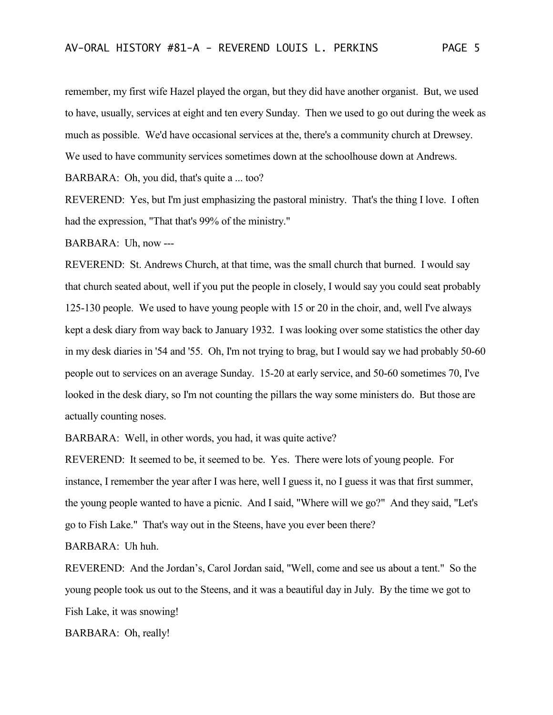remember, my first wife Hazel played the organ, but they did have another organist. But, we used to have, usually, services at eight and ten every Sunday. Then we used to go out during the week as much as possible. We'd have occasional services at the, there's a community church at Drewsey. We used to have community services sometimes down at the schoolhouse down at Andrews.

BARBARA: Oh, you did, that's quite a ... too?

REVEREND: Yes, but I'm just emphasizing the pastoral ministry. That's the thing I love. I often had the expression, "That that's 99% of the ministry."

BARBARA: Uh, now ---

REVEREND: St. Andrews Church, at that time, was the small church that burned. I would say that church seated about, well if you put the people in closely, I would say you could seat probably 125-130 people. We used to have young people with 15 or 20 in the choir, and, well I've always kept a desk diary from way back to January 1932. I was looking over some statistics the other day in my desk diaries in '54 and '55. Oh, I'm not trying to brag, but I would say we had probably 50-60 people out to services on an average Sunday. 15-20 at early service, and 50-60 sometimes 70, I've looked in the desk diary, so I'm not counting the pillars the way some ministers do. But those are actually counting noses.

BARBARA: Well, in other words, you had, it was quite active?

REVEREND: It seemed to be, it seemed to be. Yes. There were lots of young people. For instance, I remember the year after I was here, well I guess it, no I guess it was that first summer, the young people wanted to have a picnic. And I said, "Where will we go?" And they said, "Let's go to Fish Lake." That's way out in the Steens, have you ever been there?

BARBARA: Uh huh.

REVEREND: And the Jordan's, Carol Jordan said, "Well, come and see us about a tent." So the young people took us out to the Steens, and it was a beautiful day in July. By the time we got to Fish Lake, it was snowing!

BARBARA: Oh, really!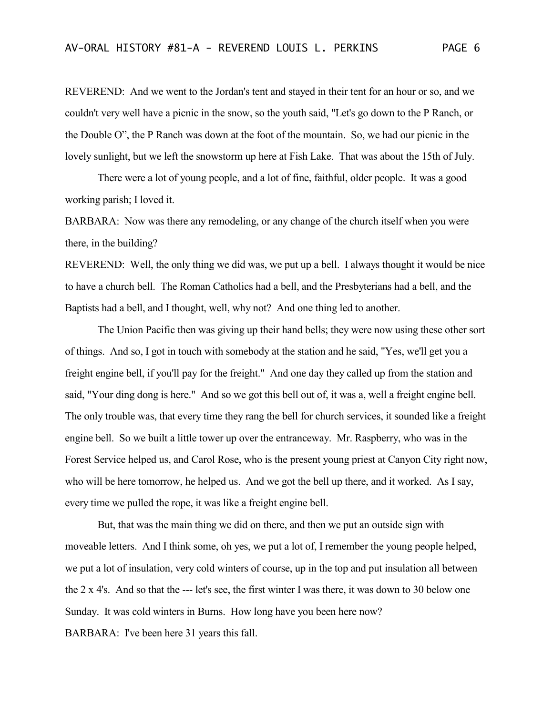REVEREND: And we went to the Jordan's tent and stayed in their tent for an hour or so, and we couldn't very well have a picnic in the snow, so the youth said, "Let's go down to the P Ranch, or the Double O", the P Ranch was down at the foot of the mountain. So, we had our picnic in the lovely sunlight, but we left the snowstorm up here at Fish Lake. That was about the 15th of July.

There were a lot of young people, and a lot of fine, faithful, older people. It was a good working parish; I loved it.

BARBARA: Now was there any remodeling, or any change of the church itself when you were there, in the building?

REVEREND: Well, the only thing we did was, we put up a bell. I always thought it would be nice to have a church bell. The Roman Catholics had a bell, and the Presbyterians had a bell, and the Baptists had a bell, and I thought, well, why not? And one thing led to another.

The Union Pacific then was giving up their hand bells; they were now using these other sort of things. And so, I got in touch with somebody at the station and he said, "Yes, we'll get you a freight engine bell, if you'll pay for the freight." And one day they called up from the station and said, "Your ding dong is here." And so we got this bell out of, it was a, well a freight engine bell. The only trouble was, that every time they rang the bell for church services, it sounded like a freight engine bell. So we built a little tower up over the entranceway. Mr. Raspberry, who was in the Forest Service helped us, and Carol Rose, who is the present young priest at Canyon City right now, who will be here tomorrow, he helped us. And we got the bell up there, and it worked. As I say, every time we pulled the rope, it was like a freight engine bell.

But, that was the main thing we did on there, and then we put an outside sign with moveable letters. And I think some, oh yes, we put a lot of, I remember the young people helped, we put a lot of insulation, very cold winters of course, up in the top and put insulation all between the 2 x 4's. And so that the --- let's see, the first winter I was there, it was down to 30 below one Sunday. It was cold winters in Burns. How long have you been here now? BARBARA: I've been here 31 years this fall.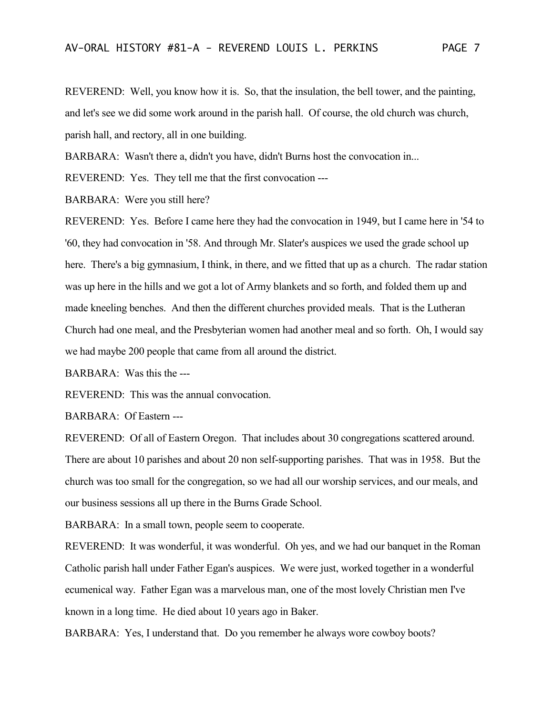REVEREND: Well, you know how it is. So, that the insulation, the bell tower, and the painting, and let's see we did some work around in the parish hall. Of course, the old church was church, parish hall, and rectory, all in one building.

BARBARA: Wasn't there a, didn't you have, didn't Burns host the convocation in...

REVEREND: Yes. They tell me that the first convocation ---

BARBARA: Were you still here?

REVEREND: Yes. Before I came here they had the convocation in 1949, but I came here in '54 to '60, they had convocation in '58. And through Mr. Slater's auspices we used the grade school up here. There's a big gymnasium, I think, in there, and we fitted that up as a church. The radar station was up here in the hills and we got a lot of Army blankets and so forth, and folded them up and made kneeling benches. And then the different churches provided meals. That is the Lutheran Church had one meal, and the Presbyterian women had another meal and so forth. Oh, I would say we had maybe 200 people that came from all around the district.

BARBARA: Was this the ---

REVEREND: This was the annual convocation.

BARBARA: Of Eastern ---

REVEREND: Of all of Eastern Oregon. That includes about 30 congregations scattered around. There are about 10 parishes and about 20 non self-supporting parishes. That was in 1958. But the church was too small for the congregation, so we had all our worship services, and our meals, and our business sessions all up there in the Burns Grade School.

BARBARA: In a small town, people seem to cooperate.

REVEREND: It was wonderful, it was wonderful. Oh yes, and we had our banquet in the Roman Catholic parish hall under Father Egan's auspices. We were just, worked together in a wonderful ecumenical way. Father Egan was a marvelous man, one of the most lovely Christian men I've known in a long time. He died about 10 years ago in Baker.

BARBARA: Yes, I understand that. Do you remember he always wore cowboy boots?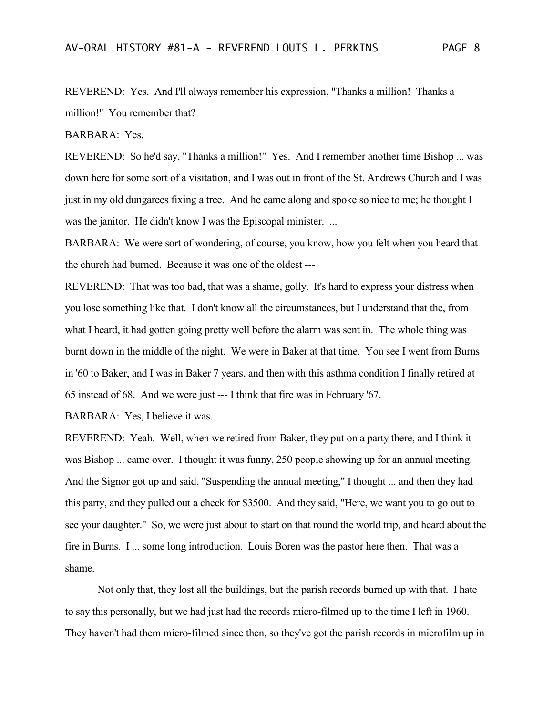REVEREND: Yes. And I'll always remember his expression, "Thanks a million! Thanks a million!" You remember that?

BARBARA: Yes.

REVEREND: So he'd say, "Thanks a million!" Yes. And I remember another time Bishop ... was down here for some sort of a visitation, and I was out in front of the St. Andrews Church and I was just in my old dungarees fixing a tree. And he came along and spoke so nice to me; he thought I was the janitor. He didn't know I was the Episcopal minister. ...

BARBARA: We were sort of wondering, of course, you know, how you felt when you heard that the church had burned. Because it was one of the oldest ---

REVEREND: That was too bad, that was a shame, golly. It's hard to express your distress when you lose something like that. I don't know all the circumstances, but I understand that the, from what I heard, it had gotten going pretty well before the alarm was sent in. The whole thing was burnt down in the middle of the night. We were in Baker at that time. You see I went from Burns in '60 to Baker, and I was in Baker 7 years, and then with this asthma condition I finally retired at 65 instead of 68. And we were just --- I think that fire was in February '67.

BARBARA: Yes, I believe it was.

REVEREND: Yeah. Well, when we retired from Baker, they put on a party there, and I think it was Bishop ... came over. I thought it was funny, 250 people showing up for an annual meeting. And the Signor got up and said, "Suspending the annual meeting," I thought ... and then they had this party, and they pulled out a check for \$3500. And they said, "Here, we want you to go out to see your daughter." So, we were just about to start on that round the world trip, and heard about the fire in Burns. I ... some long introduction. Louis Boren was the pastor here then. That was a shame.

Not only that, they lost all the buildings, but the parish records burned up with that. I hate to say this personally, but we had just had the records micro-filmed up to the time I left in 1960. They haven't had them micro-filmed since then, so they've got the parish records in microfilm up in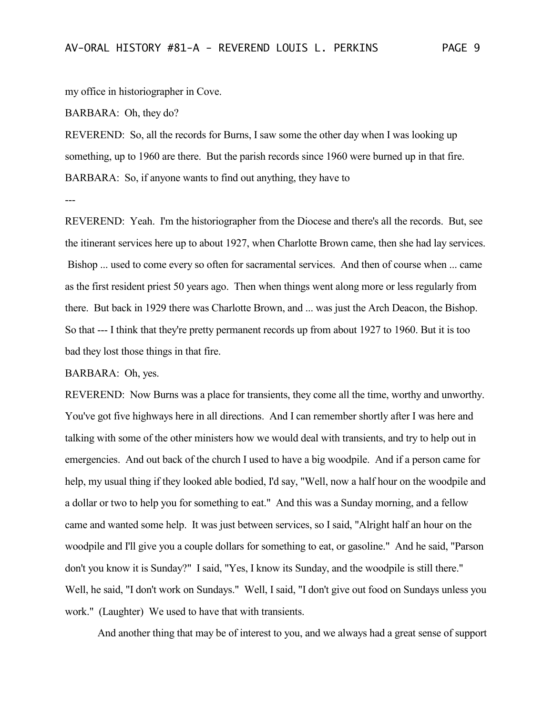my office in historiographer in Cove.

BARBARA: Oh, they do?

REVEREND: So, all the records for Burns, I saw some the other day when I was looking up something, up to 1960 are there. But the parish records since 1960 were burned up in that fire. BARBARA: So, if anyone wants to find out anything, they have to

---

REVEREND: Yeah. I'm the historiographer from the Diocese and there's all the records. But, see the itinerant services here up to about 1927, when Charlotte Brown came, then she had lay services. Bishop ... used to come every so often for sacramental services. And then of course when ... came as the first resident priest 50 years ago. Then when things went along more or less regularly from there. But back in 1929 there was Charlotte Brown, and ... was just the Arch Deacon, the Bishop. So that --- I think that they're pretty permanent records up from about 1927 to 1960. But it is too bad they lost those things in that fire.

BARBARA: Oh, yes.

REVEREND: Now Burns was a place for transients, they come all the time, worthy and unworthy. You've got five highways here in all directions. And I can remember shortly after I was here and talking with some of the other ministers how we would deal with transients, and try to help out in emergencies. And out back of the church I used to have a big woodpile. And if a person came for help, my usual thing if they looked able bodied, I'd say, "Well, now a half hour on the woodpile and a dollar or two to help you for something to eat." And this was a Sunday morning, and a fellow came and wanted some help. It was just between services, so I said, "Alright half an hour on the woodpile and I'll give you a couple dollars for something to eat, or gasoline." And he said, "Parson don't you know it is Sunday?" I said, "Yes, I know its Sunday, and the woodpile is still there." Well, he said, "I don't work on Sundays." Well, I said, "I don't give out food on Sundays unless you work." (Laughter) We used to have that with transients.

And another thing that may be of interest to you, and we always had a great sense of support